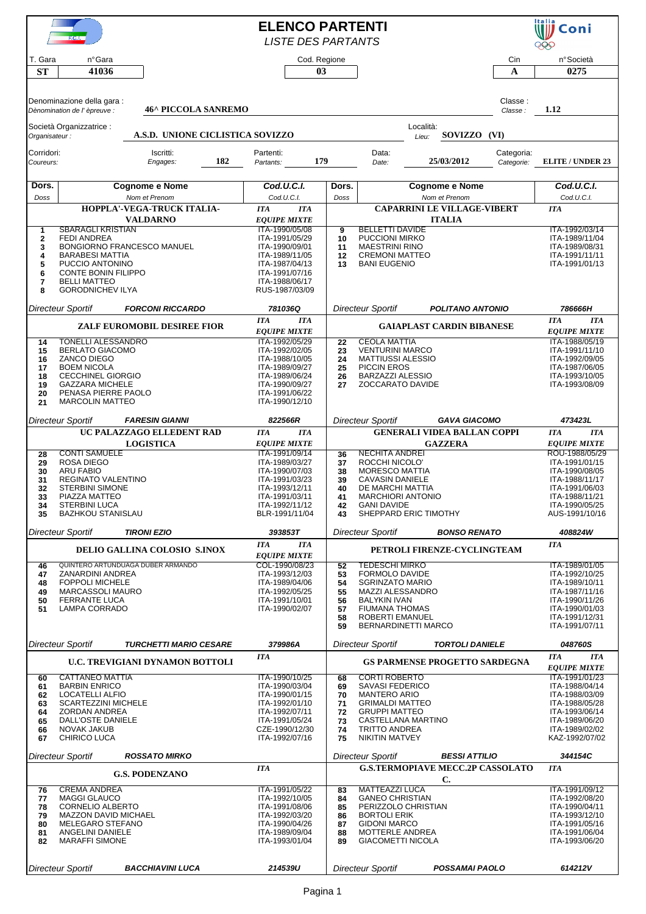|                         | F.C.I.                                               |                                     |     | <b>ELENCO PARTENTI</b>                |              |                       |                                                 |                                                     |                          | Italia<br>Coni                        |
|-------------------------|------------------------------------------------------|-------------------------------------|-----|---------------------------------------|--------------|-----------------------|-------------------------------------------------|-----------------------------------------------------|--------------------------|---------------------------------------|
|                         |                                                      |                                     |     | <b>LISTE DES PARTANTS</b>             |              |                       |                                                 |                                                     |                          | 999                                   |
| T. Gara                 | nºGara                                               |                                     |     |                                       | Cod. Regione |                       |                                                 |                                                     | Cin                      | n°Società                             |
| <b>ST</b>               | 41036                                                |                                     |     |                                       | 03           |                       |                                                 |                                                     | A                        | 0275                                  |
|                         |                                                      |                                     |     |                                       |              |                       |                                                 |                                                     |                          |                                       |
|                         | Denominazione della gara :                           |                                     |     |                                       |              |                       |                                                 |                                                     | Classe:                  |                                       |
|                         | Dènomination de l' èpreuve :                         | <b>46^ PICCOLA SANREMO</b>          |     |                                       |              |                       |                                                 |                                                     | Classe:                  | 1.12                                  |
| Organisateur:           | Società Organizzatrice :                             | A.S.D. UNIONE CICLISTICA SOVIZZO    |     |                                       |              |                       |                                                 | Località:<br>SOVIZZO (VI)<br>Lieu:                  |                          |                                       |
|                         |                                                      |                                     |     |                                       |              |                       |                                                 |                                                     |                          |                                       |
| Corridori:<br>Coureurs: |                                                      | Iscritti:<br>Engages:               | 182 | Partenti:<br>Partants:                | 179          |                       | Data:<br>Date:                                  | 25/03/2012                                          | Categoria:<br>Categorie: | <b>ELITE / UNDER 23</b>               |
|                         |                                                      |                                     |     |                                       |              |                       |                                                 |                                                     |                          |                                       |
| Dors.                   |                                                      | <b>Cognome e Nome</b>               |     | Cod.U.C.I.                            |              | Dors.                 |                                                 | <b>Cognome e Nome</b>                               |                          | Cod.U.C.I.                            |
| Doss                    | Nom et Prenom<br>HOPPLA'-VEGA-TRUCK ITALIA-          |                                     |     | Cod.U.C.I.                            |              | Doss<br>Nom et Prenom |                                                 |                                                     |                          | Cod.U.C.I.                            |
|                         |                                                      | <b>VALDARNO</b>                     |     | <b>ITA</b><br><b>EQUIPE MIXTE</b>     | <b>ITA</b>   |                       |                                                 | <b>CAPARRINI LE VILLAGE-VIBERT</b><br><b>ITALIA</b> |                          | <b>ITA</b>                            |
| 1                       | <b>SBARAGLI KRISTIAN</b>                             |                                     |     | ITA-1990/05/08                        |              | 9                     | <b>BELLETTI DAVIDE</b>                          |                                                     |                          | ITA-1992/03/14                        |
| $\mathbf{2}$            | <b>FEDI ANDREA</b>                                   |                                     |     | ITA-1991/05/29                        |              | 10                    | <b>PUCCIONI MIRKO</b><br><b>MAESTRINI RINO</b>  |                                                     |                          | ITA-1989/11/04                        |
| 3<br>4                  | <b>BARABESI MATTIA</b>                               | BONGIORNO FRANCESCO MANUEL          |     | ITA-1990/09/01<br>ITA-1989/11/05      |              | 11<br>12              | <b>CREMONI MATTEO</b>                           |                                                     |                          | ITA-1989/08/31<br>ITA-1991/11/11      |
| 5                       | PUCCIO ANTONINO<br><b>CONTE BONIN FILIPPO</b>        |                                     |     | ITA-1987/04/13<br>ITA-1991/07/16      |              | 13                    | <b>BANI EUGENIO</b>                             |                                                     |                          | ITA-1991/01/13                        |
| 6<br>7                  | <b>BELLI MATTEO</b>                                  |                                     |     | ITA-1988/06/17                        |              |                       |                                                 |                                                     |                          |                                       |
| 8                       | <b>GORODNICHEV ILYA</b>                              |                                     |     | RUS-1987/03/09                        |              |                       |                                                 |                                                     |                          |                                       |
|                         | <b>Directeur Sportif</b>                             | <b>FORCONI RICCARDO</b>             |     | 781036Q                               |              |                       | <b>Directeur Sportif</b>                        | <b>POLITANO ANTONIO</b>                             |                          | 786666H                               |
|                         |                                                      | <b>ZALF EUROMOBIL DESIREE FIOR</b>  |     | <b>ITA</b>                            | <b>ITA</b>   |                       |                                                 | <b>GAIAPLAST CARDIN BIBANESE</b>                    |                          | <b>ITA</b><br><b>ITA</b>              |
| 14                      | <b>TONELLI ALESSANDRO</b>                            |                                     |     | <b>EQUIPE MIXTE</b><br>ITA-1992/05/29 |              | 22                    | <b>CEOLA MATTIA</b>                             |                                                     |                          | <b>EQUIPE MIXTE</b><br>ITA-1988/05/19 |
| 15                      | <b>BERLATO GIACOMO</b>                               |                                     |     | ITA-1992/02/05                        |              | 23                    | <b>VENTURINI MARCO</b>                          |                                                     |                          | ITA-1991/11/10                        |
| 16<br>17                | ZANCO DIEGO<br><b>BOEM NICOLA</b>                    |                                     |     | ITA-1988/10/05<br>ITA-1989/09/27      |              | 24<br>25              | <b>MATTIUSSI ALESSIO</b><br><b>PICCIN EROS</b>  |                                                     |                          | ITA-1992/09/05<br>ITA-1987/06/05      |
| 18                      | <b>CECCHINEL GIORGIO</b>                             |                                     |     | ITA-1989/06/24                        |              | 26                    | <b>BARZAZZI ALESSIO</b>                         |                                                     |                          | ITA-1993/10/05                        |
| 19<br>20                | <b>GAZZARA MICHELE</b><br>PENASA PIERRE PAOLO        |                                     |     | ITA-1990/09/27<br>ITA-1991/06/22      |              | 27                    | ZOCCARATO DAVIDE                                |                                                     |                          | ITA-1993/08/09                        |
| 21                      | <b>MARCOLIN MATTEO</b>                               |                                     |     | ITA-1990/12/10                        |              |                       |                                                 |                                                     |                          |                                       |
|                         | Directeur Sportif                                    | <b>FARESIN GIANNI</b>               |     | 822566R                               |              |                       | <b>Directeur Sportif</b>                        | <b>GAVA GIACOMO</b>                                 |                          | 473423L                               |
|                         |                                                      | UC PALAZZAGO ELLEDENT RAD           |     | <b>ITA</b>                            | <b>ITA</b>   |                       |                                                 | <b>GENERALI VIDEA BALLAN COPPI</b>                  |                          | <b>ITA</b><br><b>ITA</b>              |
|                         |                                                      | <b>LOGISTICA</b>                    |     | <b>EQUIPE MIXTE</b>                   |              |                       |                                                 | <b>GAZZERA</b>                                      |                          | <b>EQUIPE MIXTE</b>                   |
| 28<br>29                | <b>CONTI SAMUELE</b><br><b>ROSA DIEGO</b>            |                                     |     | ITA-1991/09/14<br>ITA-1989/03/27      |              | 36<br>37              | <b>NECHITA ANDREI</b><br>ROCCHI NICOLO'         |                                                     |                          | ROU-1988/05/29<br>ITA-1991/01/15      |
| 30<br>31                | <b>ARU FABIO</b><br>REGINATO VALENTINO               |                                     |     | ITA-1990/07/03<br>ITA-1991/03/23      |              | 38<br>39              | <b>MORESCO MATTIA</b><br><b>CAVASIN DANIELE</b> |                                                     |                          | ITA-1990/08/05<br>ITA-1988/11/17      |
| 32                      | <b>STERBINI SIMONE</b>                               |                                     |     | ITA-1993/12/11                        |              | 40                    | DE MARCHI MATTIA                                |                                                     |                          | ITA-1991/06/03                        |
| 33<br>34                | PIAZZA MATTEO<br><b>STERBINI LUCA</b>                |                                     |     | ITA-1991/03/11<br>ITA-1992/11/12      |              | 41<br>42              | <b>MARCHIORI ANTONIO</b><br><b>GANI DAVIDE</b>  |                                                     |                          | ITA-1988/11/21<br>ITA-1990/05/25      |
| 35                      | <b>BAZHKOU STANISLAU</b>                             |                                     |     | BLR-1991/11/04                        |              | 43                    |                                                 | SHEPPARD ERIC TIMOTHY                               |                          | AUS-1991/10/16                        |
|                         | Directeur Sportif                                    | <b>TIRONI EZIO</b>                  |     | 393853T                               |              |                       | Directeur Sportif                               | <b>BONSO RENATO</b>                                 |                          | 408824W                               |
|                         |                                                      | <b>DELIO GALLINA COLOSIO S.INOX</b> |     | <b>ITA</b>                            | <b>ITA</b>   |                       |                                                 | PETROLI FIRENZE-CYCLINGTEAM                         |                          | <b>ITA</b>                            |
| 46                      |                                                      | QUINTERO ARTUNDUAGA DUBER ARMANDO   |     | <b>EQUIPE MIXTE</b><br>COL-1990/08/23 |              | 52                    | <b>TEDESCHI MIRKO</b>                           |                                                     |                          | ITA-1989/01/05                        |
| 47                      | ZANARDINI ANDREA                                     |                                     |     | ITA-1993/12/03                        |              | 53                    | <b>FORMOLO DAVIDE</b>                           |                                                     |                          | ITA-1992/10/25                        |
| 48<br>49                | <b>FOPPOLI MICHELE</b><br>MARCASSOLI MAURO           |                                     |     | ITA-1989/04/06<br>ITA-1992/05/25      |              | 54<br>55              | <b>SGRINZATO MARIO</b><br>MAZZI ALESSANDRO      |                                                     |                          | ITA-1989/10/11<br>ITA-1987/11/16      |
| 50                      | <b>FERRANTE LUCA</b>                                 |                                     |     | ITA-1991/10/01                        |              | 56                    | <b>BALYKIN IVAN</b>                             |                                                     |                          | ITA-1990/11/26                        |
| 51                      | <b>LAMPA CORRADO</b>                                 |                                     |     | ITA-1990/02/07                        |              | 57<br>58              | <b>FIUMANA THOMAS</b><br>ROBERTI EMANUEL        |                                                     |                          | ITA-1990/01/03<br>ITA-1991/12/31      |
|                         |                                                      |                                     |     |                                       |              | 59                    |                                                 | BERNARDINETTI MARCO                                 |                          | ITA-1991/07/11                        |
|                         | <b>Directeur Sportif</b>                             | <b>TURCHETTI MARIO CESARE</b>       |     | 379986A                               |              |                       | Directeur Sportif                               | <b>TORTOLI DANIELE</b>                              |                          | 048760S                               |
|                         |                                                      | U.C. TREVIGIANI DYNAMON BOTTOLI     |     | <b>ITA</b>                            |              |                       |                                                 | <b>GS PARMENSE PROGETTO SARDEGNA</b>                |                          | <b>ITA</b><br><b>ITA</b>              |
| 60                      | <b>CATTANEO MATTIA</b>                               |                                     |     | ITA-1990/10/25                        |              | 68                    | <b>CORTI ROBERTO</b>                            |                                                     |                          | <b>EQUIPE MIXTE</b><br>ITA-1991/01/23 |
| 61                      | <b>BARBIN ENRICO</b>                                 |                                     |     | ITA-1990/03/04                        |              | 69                    | SAVASI FEDERICO                                 |                                                     |                          | ITA-1988/04/14                        |
| 62<br>63                | <b>LOCATELLI ALFIO</b><br><b>SCARTEZZINI MICHELE</b> |                                     |     | ITA-1990/01/15<br>ITA-1992/01/10      |              | 70<br>71              | <b>MANTERO ARIO</b><br><b>GRIMALDI MATTEO</b>   |                                                     |                          | ITA-1988/03/09<br>ITA-1988/05/28      |
| 64                      | ZORDAN ANDREA                                        |                                     |     | ITA-1992/07/11                        |              | 72                    | <b>GRUPPI MATTEO</b>                            |                                                     |                          | ITA-1993/06/14                        |
| 65<br>66                | DALL'OSTE DANIELE<br><b>NOVAK JAKUB</b>              |                                     |     | ITA-1991/05/24<br>CZE-1990/12/30      |              | 73<br>74              | <b>TRITTO ANDREA</b>                            | CASTELLANA MARTINO                                  |                          | ITA-1989/06/20<br>ITA-1989/02/02      |
| 67                      | CHIRICO LUCA                                         |                                     |     | ITA-1992/07/16                        |              | 75                    | <b>NIKITIN MATVEY</b>                           |                                                     |                          | KAZ-1992/07/02                        |
|                         | Directeur Sportif                                    | <b>ROSSATO MIRKO</b>                |     |                                       |              |                       | <b>Directeur Sportif</b>                        | <b>BESSI ATTILIO</b>                                |                          | 344154C                               |
|                         |                                                      | <b>G.S. PODENZANO</b>               |     | <b>ITA</b>                            |              |                       |                                                 | <b>G.S.TERMOPIAVE MECC.2P CASSOLATO</b>             |                          | <b>ITA</b>                            |
| 76                      | <b>CREMA ANDREA</b>                                  |                                     |     | ITA-1991/05/22                        |              | 83                    | <b>MATTEAZZI LUCA</b>                           | C.                                                  |                          | ITA-1991/09/12                        |
| 77                      | <b>MAGGI GLAUCO</b>                                  |                                     |     | ITA-1992/10/05                        |              | 84                    | <b>GANEO CHRISTIAN</b>                          |                                                     |                          | ITA-1992/08/20                        |
| 78<br>79                | <b>CORNELIO ALBERTO</b><br>MAZZON DAVID MICHAEL      |                                     |     | ITA-1991/08/06<br>ITA-1992/03/20      |              | 85<br>86              | PERIZZOLO CHRISTIAN<br><b>BORTOLI ERIK</b>      |                                                     |                          | ITA-1990/04/11<br>ITA-1993/12/10      |
| 80                      | MELEGARO STEFANO                                     |                                     |     | ITA-1990/04/26                        |              | 87                    | <b>GIDONI MARCO</b>                             |                                                     |                          | ITA-1991/05/16                        |
| 81<br>82                | ANGELINI DANIELE<br><b>MARAFFI SIMONE</b>            |                                     |     | ITA-1989/09/04<br>ITA-1993/01/04      |              | 88<br>89              | MOTTERLE ANDREA<br><b>GIACOMETTI NICOLA</b>     |                                                     |                          | ITA-1991/06/04<br>ITA-1993/06/20      |
|                         |                                                      |                                     |     |                                       |              |                       |                                                 |                                                     |                          |                                       |
|                         | <b>Directeur Sportif</b>                             | <b>BACCHIAVINI LUCA</b>             |     | 214539U                               |              |                       | <b>Directeur Sportif</b>                        | POSSAMAI PAOLO                                      |                          | 614212V                               |